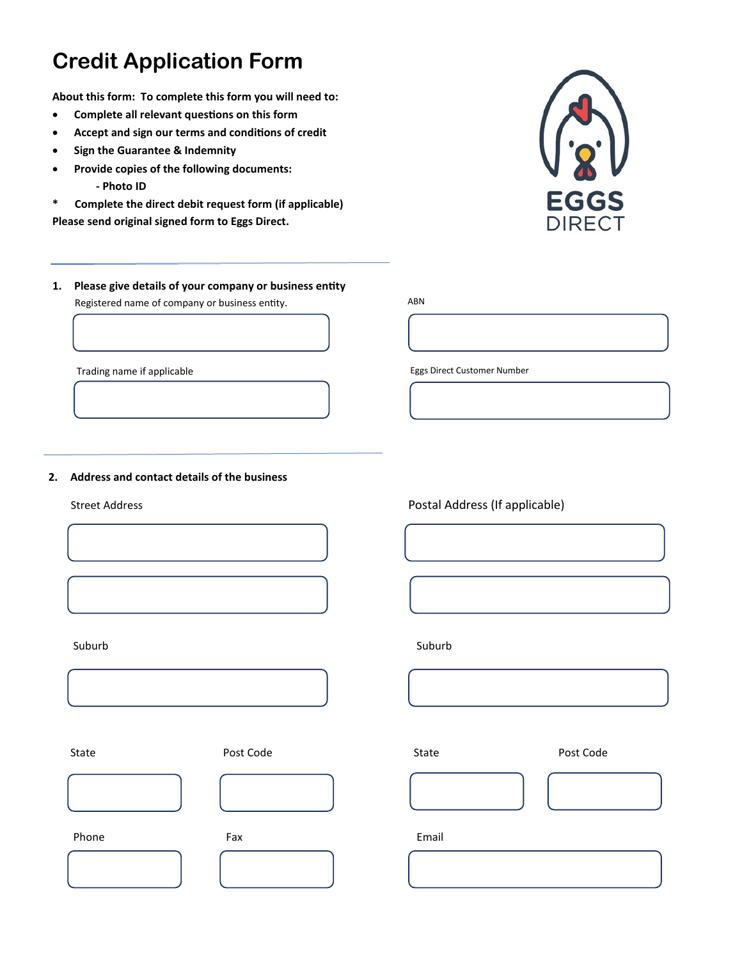**About this form: To complete this form you will need to:** 

- **Complete all relevant questions on this form**
- **Accept and sign our terms and conditions of credit**
- **Sign the Guarantee & Indemnity**
- **Provide copies of the following documents: - Photo ID**
- **\* Complete the direct debit request form (if applicable) Please send original signed form to Eggs Direct.**



**1. Please give details of your company or business entity** Registered name of company or business entity.

Trading name if applicable

#### **2. Address and contact details of the business**





Phone **Fax** Fax **Email** 

Street Address Postal Address (If applicable)

Eggs Direct Customer Number

Suburb Suburb Suburb Suburb Suburb Suburb Suburb Suburb Suburb Suburb Suburb Suburb Suburb Suburb Suburb Subur

ABN



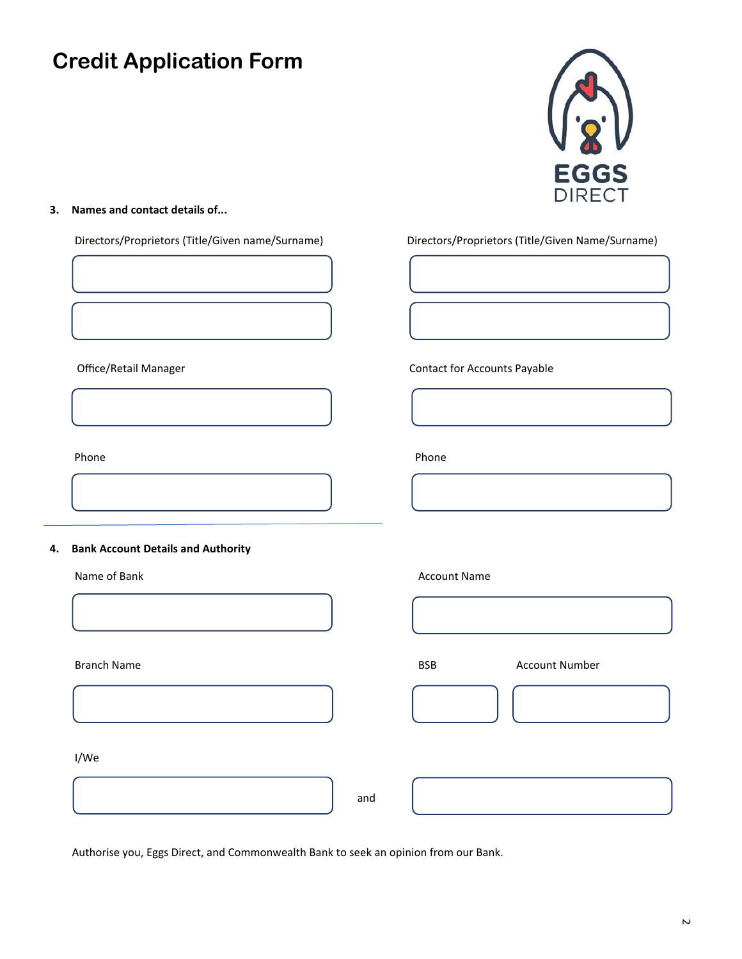

## **3. Names and contact details of...**

Directors/Proprietors (Title/Given name/Surname) Directors/Proprietors (Title/Given Name/Surname)

Office/Retail Manager Contact for Accounts Payable

Phone **Phone** Phone **Phone** Phone **Phone** Phone **Phone** 

### **4. Bank Account Details and Authority**



Name of Bank Account Name



I/We

and

Authorise you, Eggs Direct, and Commonwealth Bank to seek an opinion from our Bank.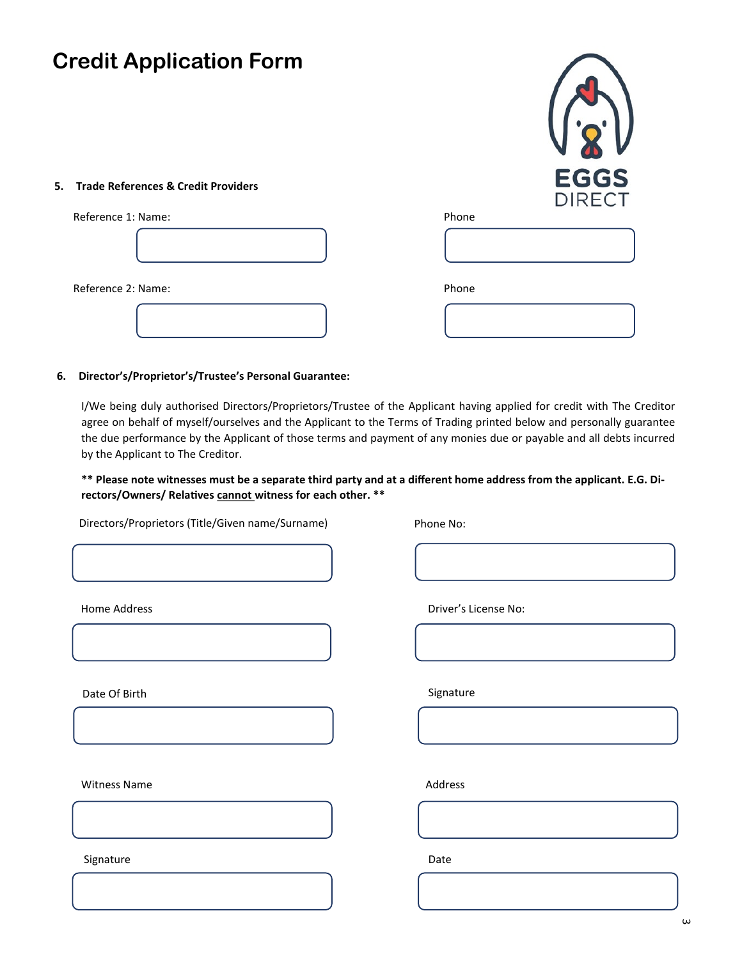## **5. Trade References & Credit Providers**

| Reference 1: Name: | Phone |
|--------------------|-------|
|                    |       |
| Reference 2: Name: | Phone |
|                    |       |

#### **6. Director's/Proprietor's/Trustee's Personal Guarantee:**

I/We being duly authorised Directors/Proprietors/Trustee of the Applicant having applied for credit with The Creditor agree on behalf of myself/ourselves and the Applicant to the Terms of Trading printed below and personally guarantee the due performance by the Applicant of those terms and payment of any monies due or payable and all debts incurred by the Applicant to The Creditor.

## **\*\* Please note witnesses must be a separate third party and at a different home address from the applicant. E.G. Directors/Owners/ Relatives cannot witness for each other. \*\***

Directors/Proprietors (Title/Given name/Surname)

Phone No:

Home Address

Date Of Birth

Witness Name

Driver's License No:

**EGGS DIRECT** 

Signature

Address

Signature

Date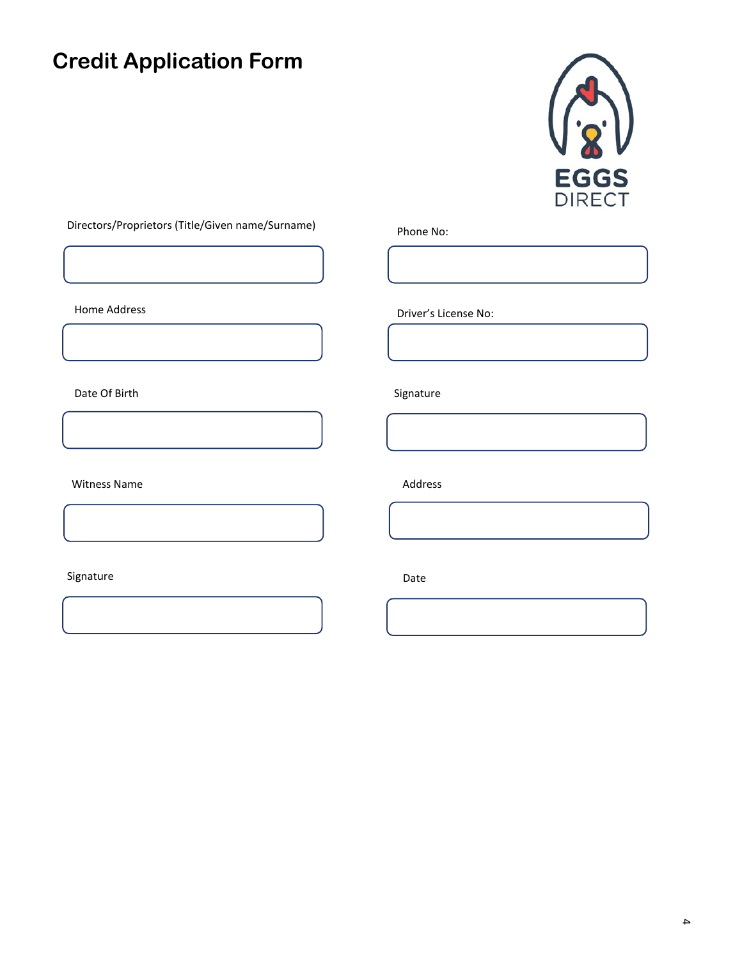

## Directors/Proprietors (Title/Given name/Surname)

Date Of Birth Signature Signature Signature

Witness Name **Address** Name **Address** 

## Signature Date Date Date Date

Phone No:

Home Address **Driver's License No:**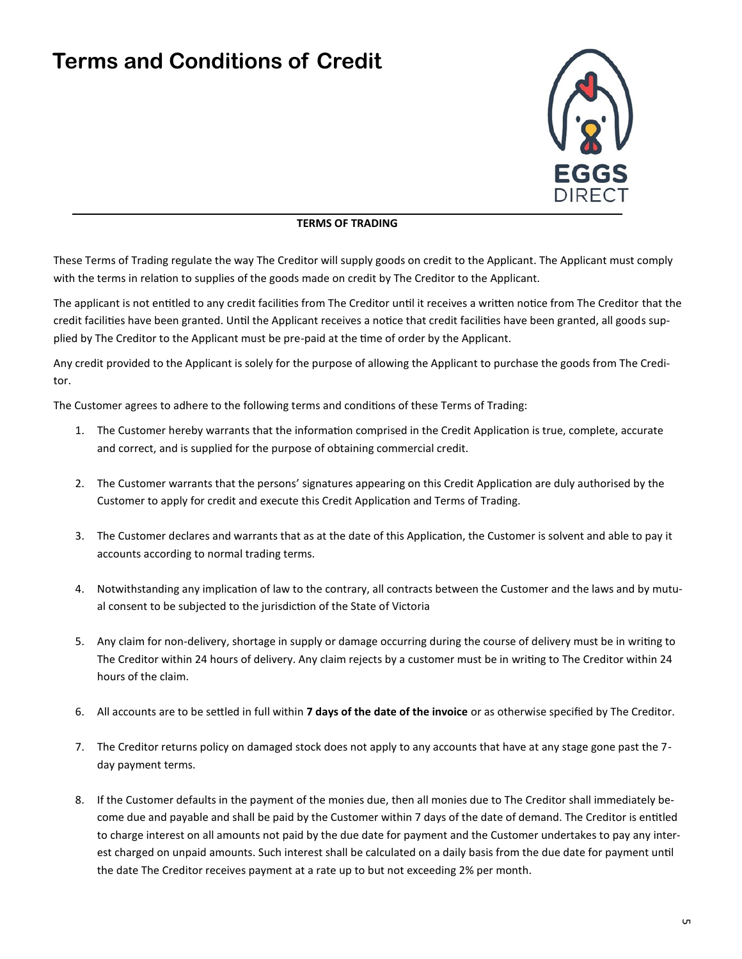# **Terms and Conditions of Credit**



#### **TERMS OF TRADING**

These Terms of Trading regulate the way The Creditor will supply goods on credit to the Applicant. The Applicant must comply with the terms in relation to supplies of the goods made on credit by The Creditor to the Applicant.

The applicant is not entitled to any credit facilities from The Creditor until it receives a written notice from The Creditor that the credit facilities have been granted. Until the Applicant receives a notice that credit facilities have been granted, all goods supplied by The Creditor to the Applicant must be pre-paid at the time of order by the Applicant.

Any credit provided to the Applicant is solely for the purpose of allowing the Applicant to purchase the goods from The Creditor.

The Customer agrees to adhere to the following terms and conditions of these Terms of Trading:

- 1. The Customer hereby warrants that the information comprised in the Credit Application is true, complete, accurate and correct, and is supplied for the purpose of obtaining commercial credit.
- 2. The Customer warrants that the persons' signatures appearing on this Credit Application are duly authorised by the Customer to apply for credit and execute this Credit Application and Terms of Trading.
- 3. The Customer declares and warrants that as at the date of this Application, the Customer is solvent and able to pay it accounts according to normal trading terms.
- 4. Notwithstanding any implication of law to the contrary, all contracts between the Customer and the laws and by mutual consent to be subjected to the jurisdiction of the State of Victoria
- 5. Any claim for non-delivery, shortage in supply or damage occurring during the course of delivery must be in writing to The Creditor within 24 hours of delivery. Any claim rejects by a customer must be in writing to The Creditor within 24 hours of the claim.
- 6. All accounts are to be settled in full within **7 days of the date of the invoice** or as otherwise specified by The Creditor.
- 7. The Creditor returns policy on damaged stock does not apply to any accounts that have at any stage gone past the 7 day payment terms.
- 8. If the Customer defaults in the payment of the monies due, then all monies due to The Creditor shall immediately become due and payable and shall be paid by the Customer within 7 days of the date of demand. The Creditor is entitled to charge interest on all amounts not paid by the due date for payment and the Customer undertakes to pay any interest charged on unpaid amounts. Such interest shall be calculated on a daily basis from the due date for payment until the date The Creditor receives payment at a rate up to but not exceeding 2% per month.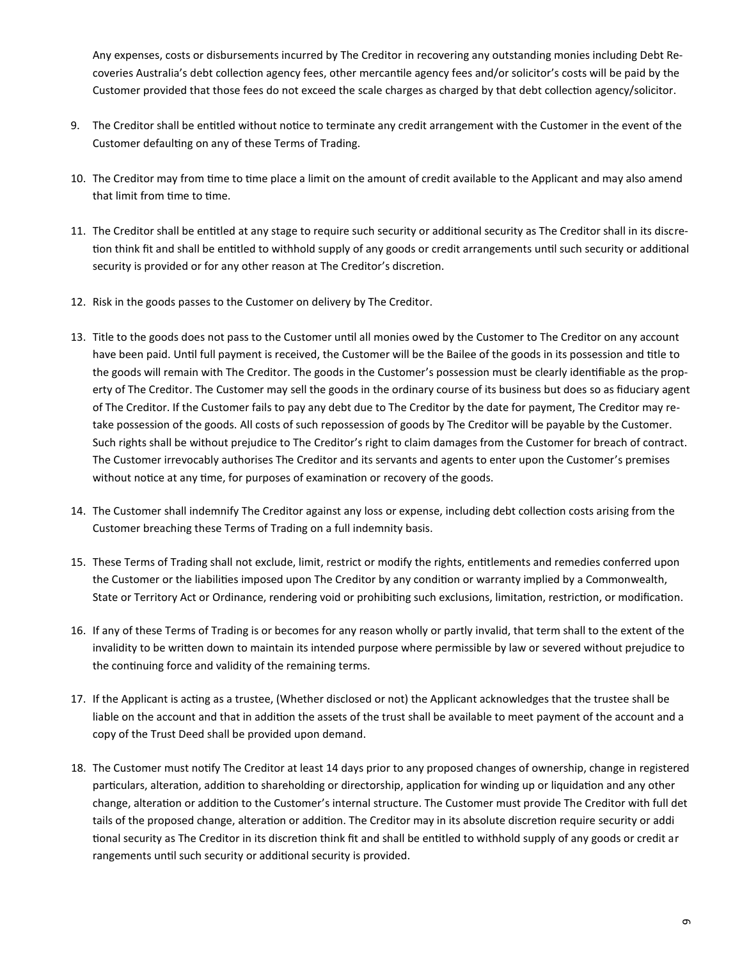Any expenses, costs or disbursements incurred by The Creditor in recovering any outstanding monies including Debt Recoveries Australia's debt collection agency fees, other mercantile agency fees and/or solicitor's costs will be paid by the Customer provided that those fees do not exceed the scale charges as charged by that debt collection agency/solicitor.

- 9. The Creditor shall be entitled without notice to terminate any credit arrangement with the Customer in the event of the Customer defaulting on any of these Terms of Trading.
- 10. The Creditor may from time to time place a limit on the amount of credit available to the Applicant and may also amend that limit from time to time.
- 11. The Creditor shall be entitled at any stage to require such security or additional security as The Creditor shall in its discretion think fit and shall be entitled to withhold supply of any goods or credit arrangements until such security or additional security is provided or for any other reason at The Creditor's discretion.
- 12. Risk in the goods passes to the Customer on delivery by The Creditor.
- 13. Title to the goods does not pass to the Customer until all monies owed by the Customer to The Creditor on any account have been paid. Until full payment is received, the Customer will be the Bailee of the goods in its possession and title to the goods will remain with The Creditor. The goods in the Customer's possession must be clearly identifiable as the property of The Creditor. The Customer may sell the goods in the ordinary course of its business but does so as fiduciary agent of The Creditor. If the Customer fails to pay any debt due to The Creditor by the date for payment, The Creditor may retake possession of the goods. All costs of such repossession of goods by The Creditor will be payable by the Customer. Such rights shall be without prejudice to The Creditor's right to claim damages from the Customer for breach of contract. The Customer irrevocably authorises The Creditor and its servants and agents to enter upon the Customer's premises without notice at any time, for purposes of examination or recovery of the goods.
- 14. The Customer shall indemnify The Creditor against any loss or expense, including debt collection costs arising from the Customer breaching these Terms of Trading on a full indemnity basis.
- 15. These Terms of Trading shall not exclude, limit, restrict or modify the rights, entitlements and remedies conferred upon the Customer or the liabilities imposed upon The Creditor by any condition or warranty implied by a Commonwealth, State or Territory Act or Ordinance, rendering void or prohibiting such exclusions, limitation, restriction, or modification.
- 16. If any of these Terms of Trading is or becomes for any reason wholly or partly invalid, that term shall to the extent of the invalidity to be written down to maintain its intended purpose where permissible by law or severed without prejudice to the continuing force and validity of the remaining terms.
- 17. If the Applicant is acting as a trustee, (Whether disclosed or not) the Applicant acknowledges that the trustee shall be liable on the account and that in addition the assets of the trust shall be available to meet payment of the account and a copy of the Trust Deed shall be provided upon demand.
- 18. The Customer must notify The Creditor at least 14 days prior to any proposed changes of ownership, change in registered particulars, alteration, addition to shareholding or directorship, application for winding up or liquidation and any other change, alteration or addition to the Customer's internal structure. The Customer must provide The Creditor with full det tails of the proposed change, alteration or addition. The Creditor may in its absolute discretion require security or addi tional security as The Creditor in its discretion think fit and shall be entitled to withhold supply of any goods or credit ar rangements until such security or additional security is provided.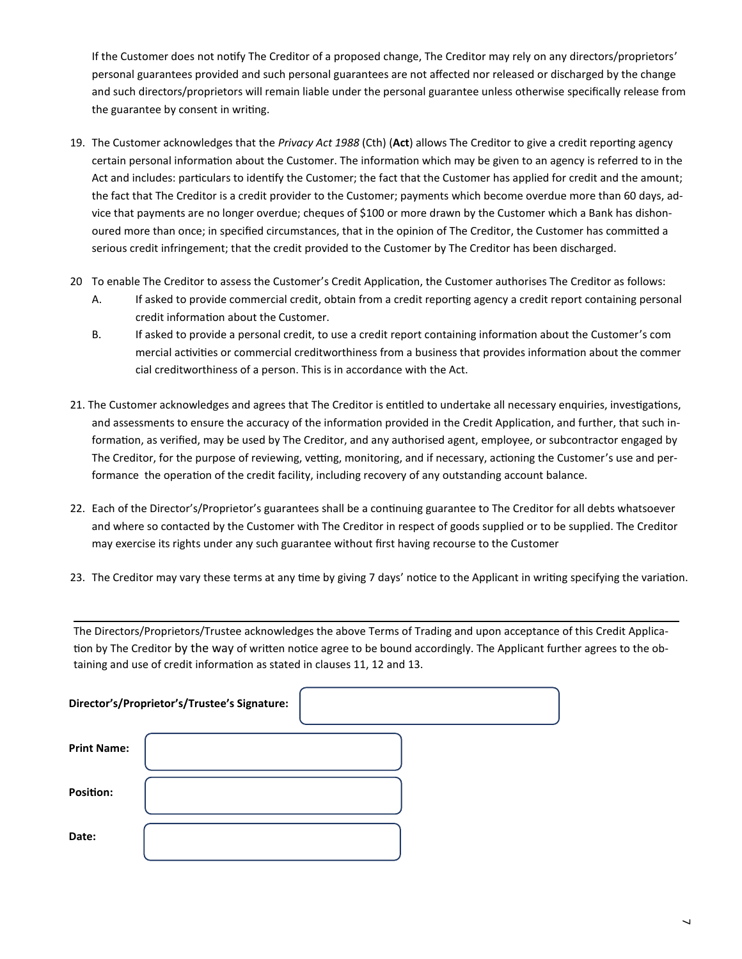If the Customer does not notify The Creditor of a proposed change, The Creditor may rely on any directors/proprietors' personal guarantees provided and such personal guarantees are not affected nor released or discharged by the change and such directors/proprietors will remain liable under the personal guarantee unless otherwise specifically release from the guarantee by consent in writing.

- 19. The Customer acknowledges that the *Privacy Act 1988* (Cth) (**Act**) allows The Creditor to give a credit reporting agency certain personal information about the Customer. The information which may be given to an agency is referred to in the Act and includes: particulars to identify the Customer; the fact that the Customer has applied for credit and the amount; the fact that The Creditor is a credit provider to the Customer; payments which become overdue more than 60 days, advice that payments are no longer overdue; cheques of \$100 or more drawn by the Customer which a Bank has dishonoured more than once; in specified circumstances, that in the opinion of The Creditor, the Customer has committed a serious credit infringement; that the credit provided to the Customer by The Creditor has been discharged.
- 20 To enable The Creditor to assess the Customer's Credit Application, the Customer authorises The Creditor as follows:
	- A. If asked to provide commercial credit, obtain from a credit reporting agency a credit report containing personal credit information about the Customer.
	- B. If asked to provide a personal credit, to use a credit report containing information about the Customer's com mercial activities or commercial creditworthiness from a business that provides information about the commer cial creditworthiness of a person. This is in accordance with the Act.
- 21. The Customer acknowledges and agrees that The Creditor is entitled to undertake all necessary enquiries, investigations, and assessments to ensure the accuracy of the information provided in the Credit Application, and further, that such information, as verified, may be used by The Creditor, and any authorised agent, employee, or subcontractor engaged by The Creditor, for the purpose of reviewing, vetting, monitoring, and if necessary, actioning the Customer's use and performance the operation of the credit facility, including recovery of any outstanding account balance.
- 22. Each of the Director's/Proprietor's guarantees shall be a continuing guarantee to The Creditor for all debts whatsoever and where so contacted by the Customer with The Creditor in respect of goods supplied or to be supplied. The Creditor may exercise its rights under any such guarantee without first having recourse to the Customer
- 23. The Creditor may vary these terms at any time by giving 7 days' notice to the Applicant in writing specifying the variation.

The Directors/Proprietors/Trustee acknowledges the above Terms of Trading and upon acceptance of this Credit Application by The Creditor by the way of written notice agree to be bound accordingly. The Applicant further agrees to the obtaining and use of credit information as stated in clauses 11, 12 and 13.

| Director's/Proprietor's/Trustee's Signature: |  |
|----------------------------------------------|--|
| <b>Print Name:</b>                           |  |
| <b>Position:</b>                             |  |
| Date:                                        |  |